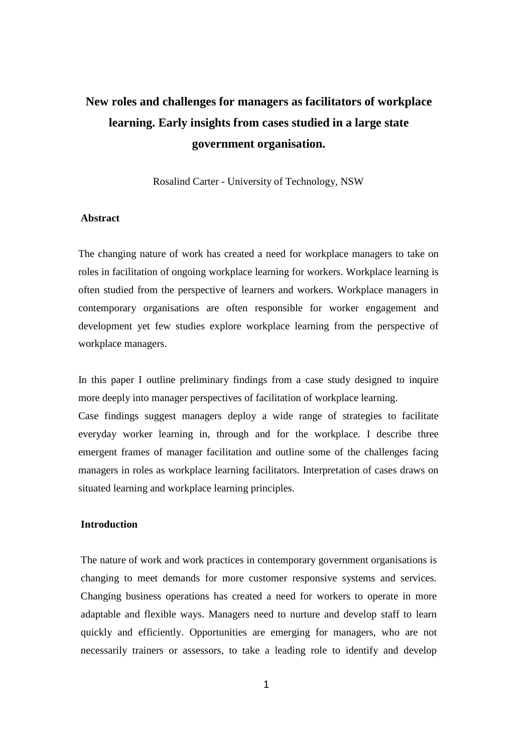# **New roles and challenges for managers as facilitators of workplace learning. Early insights from cases studied in a large state government organisation.**

Rosalind Carter - University of Technology, NSW

#### **Abstract**

The changing nature of work has created a need for workplace managers to take on roles in facilitation of ongoing workplace learning for workers. Workplace learning is often studied from the perspective of learners and workers. Workplace managers in contemporary organisations are often responsible for worker engagement and development yet few studies explore workplace learning from the perspective of workplace managers.

In this paper I outline preliminary findings from a case study designed to inquire more deeply into manager perspectives of facilitation of workplace learning.

Case findings suggest managers deploy a wide range of strategies to facilitate everyday worker learning in, through and for the workplace. I describe three emergent frames of manager facilitation and outline some of the challenges facing managers in roles as workplace learning facilitators. Interpretation of cases draws on situated learning and workplace learning principles.

# **Introduction**

The nature of work and work practices in contemporary government organisations is changing to meet demands for more customer responsive systems and services. Changing business operations has created a need for workers to operate in more adaptable and flexible ways. Managers need to nurture and develop staff to learn quickly and efficiently. Opportunities are emerging for managers, who are not necessarily trainers or assessors, to take a leading role to identify and develop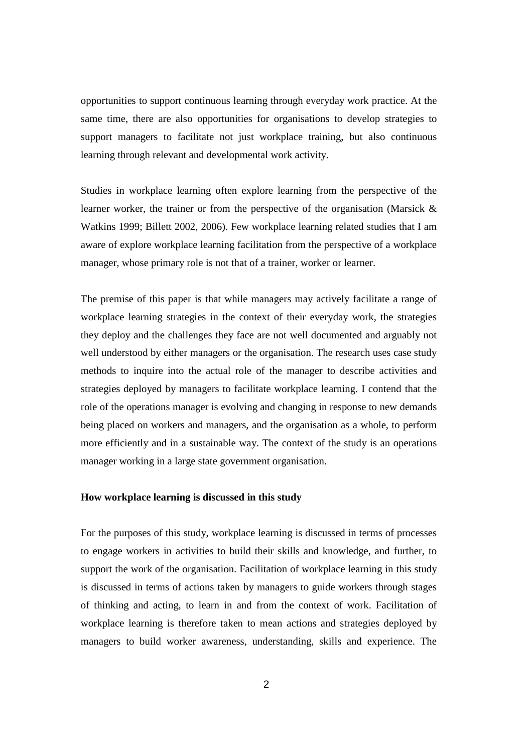opportunities to support continuous learning through everyday work practice. At the same time, there are also opportunities for organisations to develop strategies to support managers to facilitate not just workplace training, but also continuous learning through relevant and developmental work activity.

Studies in workplace learning often explore learning from the perspective of the learner worker, the trainer or from the perspective of the organisation (Marsick & Watkins 1999; Billett 2002, 2006). Few workplace learning related studies that I am aware of explore workplace learning facilitation from the perspective of a workplace manager, whose primary role is not that of a trainer, worker or learner.

The premise of this paper is that while managers may actively facilitate a range of workplace learning strategies in the context of their everyday work, the strategies they deploy and the challenges they face are not well documented and arguably not well understood by either managers or the organisation. The research uses case study methods to inquire into the actual role of the manager to describe activities and strategies deployed by managers to facilitate workplace learning. I contend that the role of the operations manager is evolving and changing in response to new demands being placed on workers and managers, and the organisation as a whole, to perform more efficiently and in a sustainable way. The context of the study is an operations manager working in a large state government organisation.

## **How workplace learning is discussed in this study**

For the purposes of this study, workplace learning is discussed in terms of processes to engage workers in activities to build their skills and knowledge, and further, to support the work of the organisation. Facilitation of workplace learning in this study is discussed in terms of actions taken by managers to guide workers through stages of thinking and acting, to learn in and from the context of work. Facilitation of workplace learning is therefore taken to mean actions and strategies deployed by managers to build worker awareness, understanding, skills and experience. The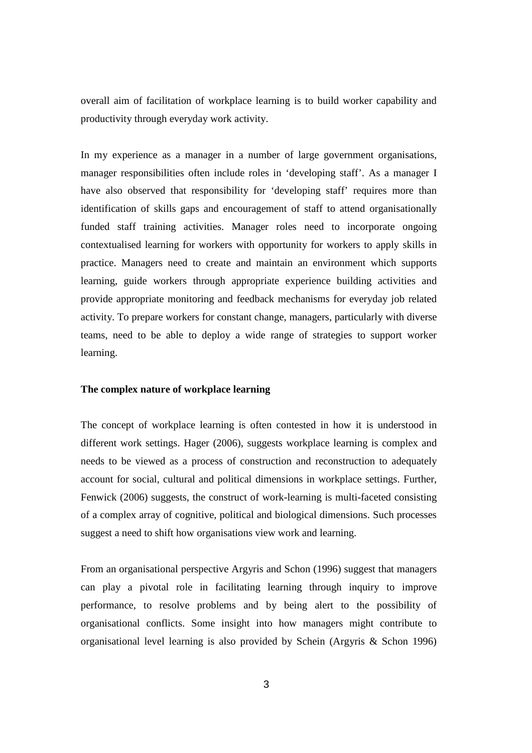overall aim of facilitation of workplace learning is to build worker capability and productivity through everyday work activity.

In my experience as a manager in a number of large government organisations, manager responsibilities often include roles in 'developing staff'. As a manager I have also observed that responsibility for 'developing staff' requires more than identification of skills gaps and encouragement of staff to attend organisationally funded staff training activities. Manager roles need to incorporate ongoing contextualised learning for workers with opportunity for workers to apply skills in practice. Managers need to create and maintain an environment which supports learning, guide workers through appropriate experience building activities and provide appropriate monitoring and feedback mechanisms for everyday job related activity. To prepare workers for constant change, managers, particularly with diverse teams, need to be able to deploy a wide range of strategies to support worker learning.

## **The complex nature of workplace learning**

The concept of workplace learning is often contested in how it is understood in different work settings. Hager (2006), suggests workplace learning is complex and needs to be viewed as a process of construction and reconstruction to adequately account for social, cultural and political dimensions in workplace settings. Further, Fenwick (2006) suggests, the construct of work-learning is multi-faceted consisting of a complex array of cognitive, political and biological dimensions. Such processes suggest a need to shift how organisations view work and learning.

From an organisational perspective Argyris and Schon (1996) suggest that managers can play a pivotal role in facilitating learning through inquiry to improve performance, to resolve problems and by being alert to the possibility of organisational conflicts. Some insight into how managers might contribute to organisational level learning is also provided by Schein (Argyris & Schon 1996)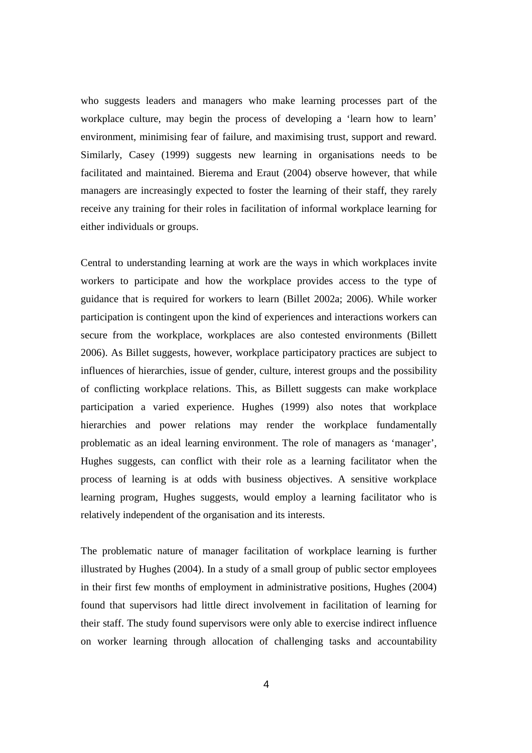who suggests leaders and managers who make learning processes part of the workplace culture, may begin the process of developing a 'learn how to learn' environment, minimising fear of failure, and maximising trust, support and reward. Similarly, Casey (1999) suggests new learning in organisations needs to be facilitated and maintained. Bierema and Eraut (2004) observe however, that while managers are increasingly expected to foster the learning of their staff, they rarely receive any training for their roles in facilitation of informal workplace learning for either individuals or groups.

Central to understanding learning at work are the ways in which workplaces invite workers to participate and how the workplace provides access to the type of guidance that is required for workers to learn (Billet 2002a; 2006). While worker participation is contingent upon the kind of experiences and interactions workers can secure from the workplace, workplaces are also contested environments (Billett 2006). As Billet suggests, however, workplace participatory practices are subject to influences of hierarchies, issue of gender, culture, interest groups and the possibility of conflicting workplace relations. This, as Billett suggests can make workplace participation a varied experience. Hughes (1999) also notes that workplace hierarchies and power relations may render the workplace fundamentally problematic as an ideal learning environment. The role of managers as 'manager', Hughes suggests, can conflict with their role as a learning facilitator when the process of learning is at odds with business objectives. A sensitive workplace learning program, Hughes suggests, would employ a learning facilitator who is relatively independent of the organisation and its interests.

The problematic nature of manager facilitation of workplace learning is further illustrated by Hughes (2004). In a study of a small group of public sector employees in their first few months of employment in administrative positions, Hughes (2004) found that supervisors had little direct involvement in facilitation of learning for their staff. The study found supervisors were only able to exercise indirect influence on worker learning through allocation of challenging tasks and accountability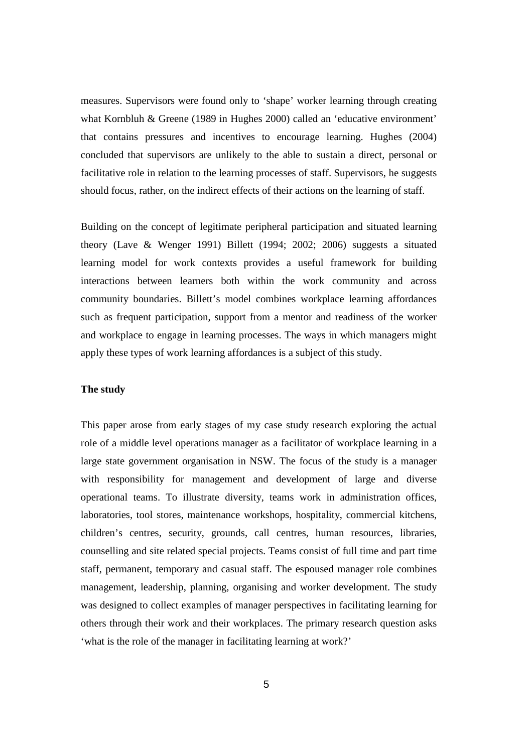measures. Supervisors were found only to 'shape' worker learning through creating what Kornbluh & Greene (1989 in Hughes 2000) called an 'educative environment' that contains pressures and incentives to encourage learning. Hughes (2004) concluded that supervisors are unlikely to the able to sustain a direct, personal or facilitative role in relation to the learning processes of staff. Supervisors, he suggests should focus, rather, on the indirect effects of their actions on the learning of staff.

Building on the concept of legitimate peripheral participation and situated learning theory (Lave & Wenger 1991) Billett (1994; 2002; 2006) suggests a situated learning model for work contexts provides a useful framework for building interactions between learners both within the work community and across community boundaries. Billett's model combines workplace learning affordances such as frequent participation, support from a mentor and readiness of the worker and workplace to engage in learning processes. The ways in which managers might apply these types of work learning affordances is a subject of this study.

### **The study**

This paper arose from early stages of my case study research exploring the actual role of a middle level operations manager as a facilitator of workplace learning in a large state government organisation in NSW. The focus of the study is a manager with responsibility for management and development of large and diverse operational teams. To illustrate diversity, teams work in administration offices, laboratories, tool stores, maintenance workshops, hospitality, commercial kitchens, children's centres, security, grounds, call centres, human resources, libraries, counselling and site related special projects. Teams consist of full time and part time staff, permanent, temporary and casual staff. The espoused manager role combines management, leadership, planning, organising and worker development. The study was designed to collect examples of manager perspectives in facilitating learning for others through their work and their workplaces. The primary research question asks 'what is the role of the manager in facilitating learning at work?'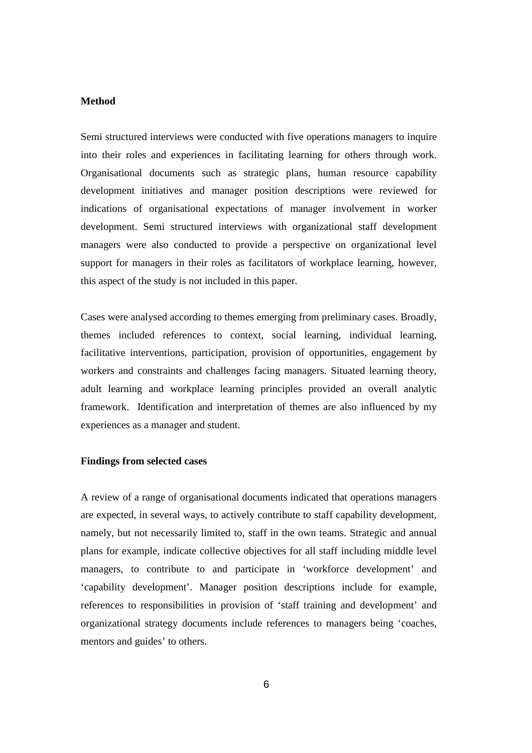## **Method**

Semi structured interviews were conducted with five operations managers to inquire into their roles and experiences in facilitating learning for others through work. Organisational documents such as strategic plans, human resource capability development initiatives and manager position descriptions were reviewed for indications of organisational expectations of manager involvement in worker development. Semi structured interviews with organizational staff development managers were also conducted to provide a perspective on organizational level support for managers in their roles as facilitators of workplace learning, however, this aspect of the study is not included in this paper.

Cases were analysed according to themes emerging from preliminary cases. Broadly, themes included references to context, social learning, individual learning, facilitative interventions, participation, provision of opportunities, engagement by workers and constraints and challenges facing managers. Situated learning theory, adult learning and workplace learning principles provided an overall analytic framework. Identification and interpretation of themes are also influenced by my experiences as a manager and student.

#### **Findings from selected cases**

A review of a range of organisational documents indicated that operations managers are expected, in several ways, to actively contribute to staff capability development, namely, but not necessarily limited to, staff in the own teams. Strategic and annual plans for example, indicate collective objectives for all staff including middle level managers, to contribute to and participate in 'workforce development' and 'capability development'. Manager position descriptions include for example, references to responsibilities in provision of 'staff training and development' and organizational strategy documents include references to managers being 'coaches, mentors and guides' to others.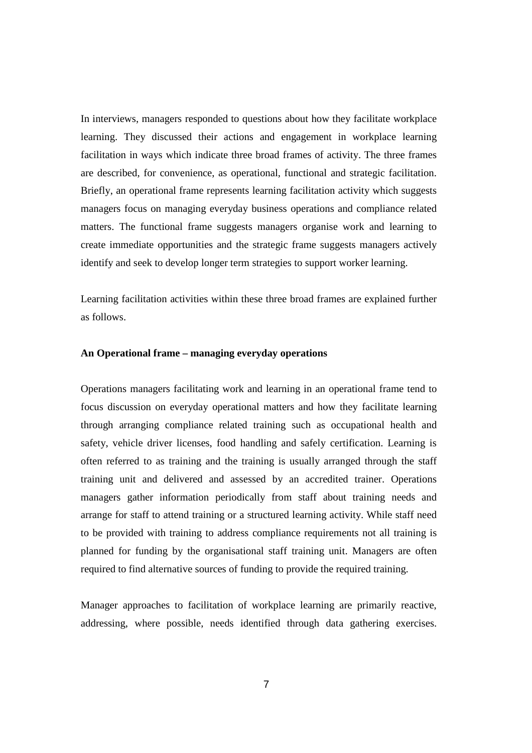In interviews, managers responded to questions about how they facilitate workplace learning. They discussed their actions and engagement in workplace learning facilitation in ways which indicate three broad frames of activity. The three frames are described, for convenience, as operational, functional and strategic facilitation. Briefly, an operational frame represents learning facilitation activity which suggests managers focus on managing everyday business operations and compliance related matters. The functional frame suggests managers organise work and learning to create immediate opportunities and the strategic frame suggests managers actively identify and seek to develop longer term strategies to support worker learning.

Learning facilitation activities within these three broad frames are explained further as follows.

## **An Operational frame – managing everyday operations**

Operations managers facilitating work and learning in an operational frame tend to focus discussion on everyday operational matters and how they facilitate learning through arranging compliance related training such as occupational health and safety, vehicle driver licenses, food handling and safely certification. Learning is often referred to as training and the training is usually arranged through the staff training unit and delivered and assessed by an accredited trainer. Operations managers gather information periodically from staff about training needs and arrange for staff to attend training or a structured learning activity. While staff need to be provided with training to address compliance requirements not all training is planned for funding by the organisational staff training unit. Managers are often required to find alternative sources of funding to provide the required training.

Manager approaches to facilitation of workplace learning are primarily reactive, addressing, where possible, needs identified through data gathering exercises.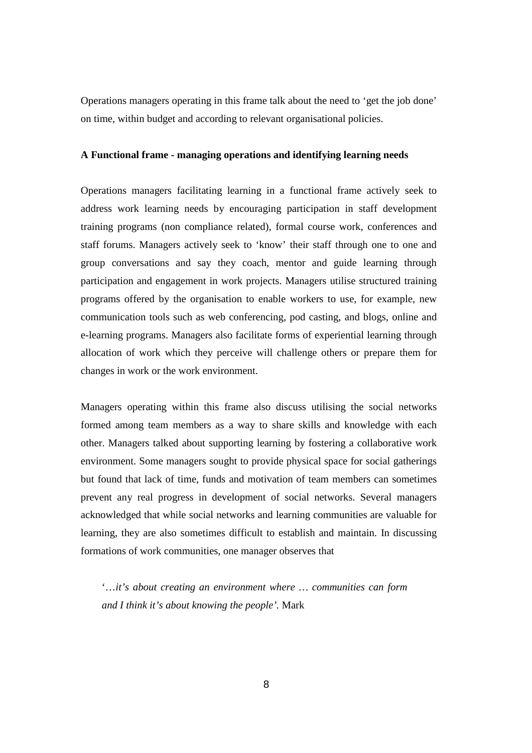Operations managers operating in this frame talk about the need to 'get the job done' on time, within budget and according to relevant organisational policies.

### **A Functional frame - managing operations and identifying learning needs**

Operations managers facilitating learning in a functional frame actively seek to address work learning needs by encouraging participation in staff development training programs (non compliance related), formal course work, conferences and staff forums. Managers actively seek to 'know' their staff through one to one and group conversations and say they coach, mentor and guide learning through participation and engagement in work projects. Managers utilise structured training programs offered by the organisation to enable workers to use, for example, new communication tools such as web conferencing, pod casting, and blogs, online and e-learning programs. Managers also facilitate forms of experiential learning through allocation of work which they perceive will challenge others or prepare them for changes in work or the work environment.

Managers operating within this frame also discuss utilising the social networks formed among team members as a way to share skills and knowledge with each other. Managers talked about supporting learning by fostering a collaborative work environment. Some managers sought to provide physical space for social gatherings but found that lack of time, funds and motivation of team members can sometimes prevent any real progress in development of social networks. Several managers acknowledged that while social networks and learning communities are valuable for learning, they are also sometimes difficult to establish and maintain. In discussing formations of work communities, one manager observes that

'…*it's about creating an environment where … communities can form and I think it's about knowing the people'.* Mark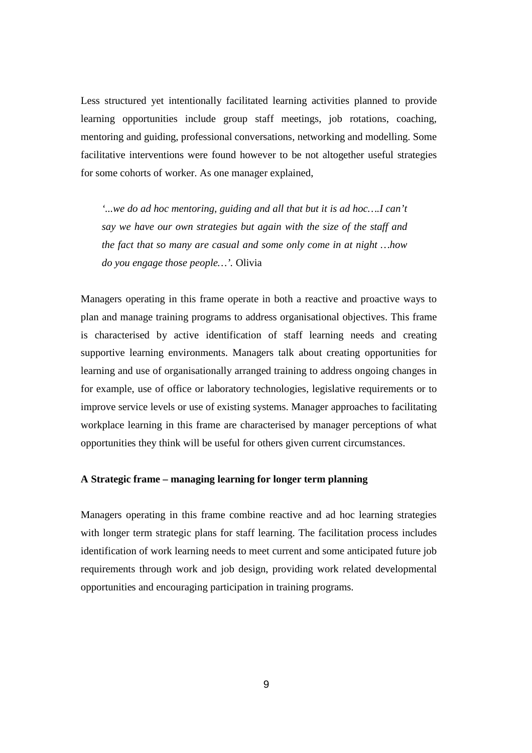Less structured yet intentionally facilitated learning activities planned to provide learning opportunities include group staff meetings, job rotations, coaching, mentoring and guiding, professional conversations, networking and modelling. Some facilitative interventions were found however to be not altogether useful strategies for some cohorts of worker. As one manager explained,

*'...we do ad hoc mentoring, guiding and all that but it is ad hoc….I can't say we have our own strategies but again with the size of the staff and the fact that so many are casual and some only come in at night …how do you engage those people…'.* Olivia

Managers operating in this frame operate in both a reactive and proactive ways to plan and manage training programs to address organisational objectives. This frame is characterised by active identification of staff learning needs and creating supportive learning environments. Managers talk about creating opportunities for learning and use of organisationally arranged training to address ongoing changes in for example, use of office or laboratory technologies, legislative requirements or to improve service levels or use of existing systems. Manager approaches to facilitating workplace learning in this frame are characterised by manager perceptions of what opportunities they think will be useful for others given current circumstances.

## **A Strategic frame – managing learning for longer term planning**

Managers operating in this frame combine reactive and ad hoc learning strategies with longer term strategic plans for staff learning. The facilitation process includes identification of work learning needs to meet current and some anticipated future job requirements through work and job design, providing work related developmental opportunities and encouraging participation in training programs.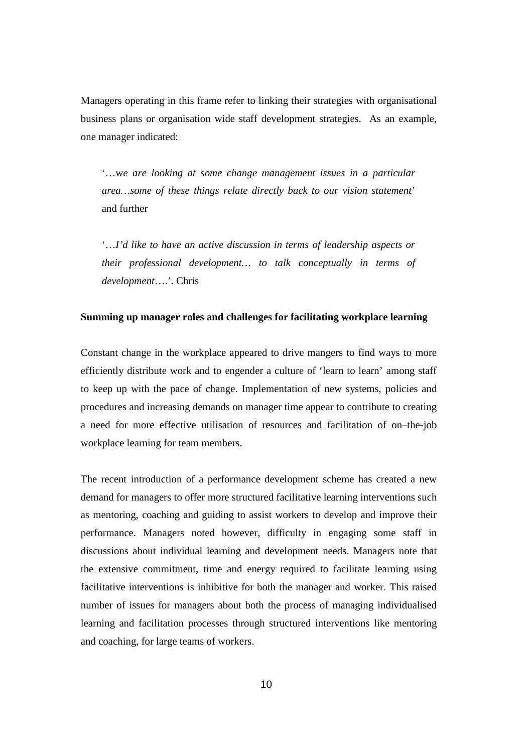Managers operating in this frame refer to linking their strategies with organisational business plans or organisation wide staff development strategies. As an example, one manager indicated:

'…w*e are looking at some change management issues in a particular area…some of these things relate directly back to our vision statement*' and further

'…*I'd like to have an active discussion in terms of leadership aspects or their professional development… to talk conceptually in terms of development*….'. Chris

## **Summing up manager roles and challenges for facilitating workplace learning**

Constant change in the workplace appeared to drive mangers to find ways to more efficiently distribute work and to engender a culture of 'learn to learn' among staff to keep up with the pace of change. Implementation of new systems, policies and procedures and increasing demands on manager time appear to contribute to creating a need for more effective utilisation of resources and facilitation of on–the-job workplace learning for team members.

The recent introduction of a performance development scheme has created a new demand for managers to offer more structured facilitative learning interventions such as mentoring, coaching and guiding to assist workers to develop and improve their performance. Managers noted however, difficulty in engaging some staff in discussions about individual learning and development needs. Managers note that the extensive commitment, time and energy required to facilitate learning using facilitative interventions is inhibitive for both the manager and worker. This raised number of issues for managers about both the process of managing individualised learning and facilitation processes through structured interventions like mentoring and coaching, for large teams of workers.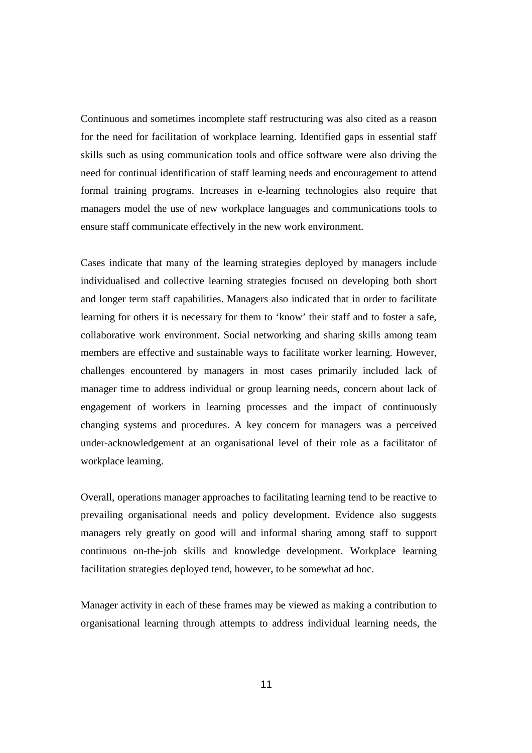Continuous and sometimes incomplete staff restructuring was also cited as a reason for the need for facilitation of workplace learning. Identified gaps in essential staff skills such as using communication tools and office software were also driving the need for continual identification of staff learning needs and encouragement to attend formal training programs. Increases in e-learning technologies also require that managers model the use of new workplace languages and communications tools to ensure staff communicate effectively in the new work environment.

Cases indicate that many of the learning strategies deployed by managers include individualised and collective learning strategies focused on developing both short and longer term staff capabilities. Managers also indicated that in order to facilitate learning for others it is necessary for them to 'know' their staff and to foster a safe, collaborative work environment. Social networking and sharing skills among team members are effective and sustainable ways to facilitate worker learning. However, challenges encountered by managers in most cases primarily included lack of manager time to address individual or group learning needs, concern about lack of engagement of workers in learning processes and the impact of continuously changing systems and procedures. A key concern for managers was a perceived under-acknowledgement at an organisational level of their role as a facilitator of workplace learning.

Overall, operations manager approaches to facilitating learning tend to be reactive to prevailing organisational needs and policy development. Evidence also suggests managers rely greatly on good will and informal sharing among staff to support continuous on-the-job skills and knowledge development. Workplace learning facilitation strategies deployed tend, however, to be somewhat ad hoc.

Manager activity in each of these frames may be viewed as making a contribution to organisational learning through attempts to address individual learning needs, the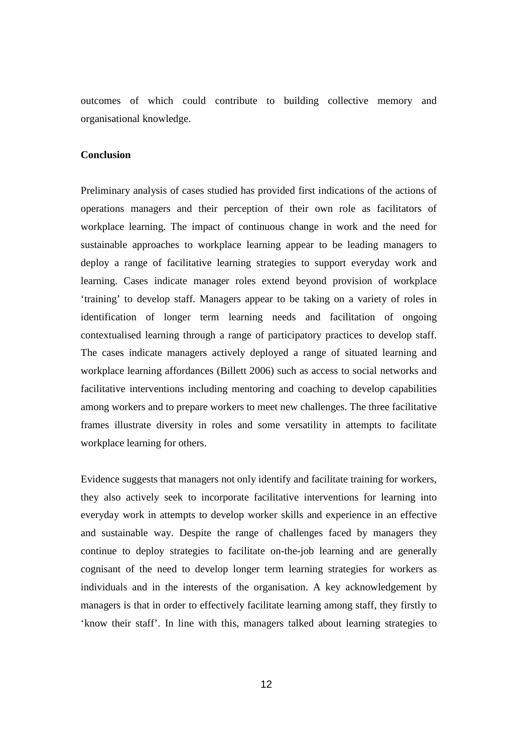outcomes of which could contribute to building collective memory and organisational knowledge.

# **Conclusion**

Preliminary analysis of cases studied has provided first indications of the actions of operations managers and their perception of their own role as facilitators of workplace learning. The impact of continuous change in work and the need for sustainable approaches to workplace learning appear to be leading managers to deploy a range of facilitative learning strategies to support everyday work and learning. Cases indicate manager roles extend beyond provision of workplace 'training' to develop staff. Managers appear to be taking on a variety of roles in identification of longer term learning needs and facilitation of ongoing contextualised learning through a range of participatory practices to develop staff. The cases indicate managers actively deployed a range of situated learning and workplace learning affordances (Billett 2006) such as access to social networks and facilitative interventions including mentoring and coaching to develop capabilities among workers and to prepare workers to meet new challenges. The three facilitative frames illustrate diversity in roles and some versatility in attempts to facilitate workplace learning for others.

Evidence suggests that managers not only identify and facilitate training for workers, they also actively seek to incorporate facilitative interventions for learning into everyday work in attempts to develop worker skills and experience in an effective and sustainable way. Despite the range of challenges faced by managers they continue to deploy strategies to facilitate on-the-job learning and are generally cognisant of the need to develop longer term learning strategies for workers as individuals and in the interests of the organisation. A key acknowledgement by managers is that in order to effectively facilitate learning among staff, they firstly to 'know their staff'. In line with this, managers talked about learning strategies to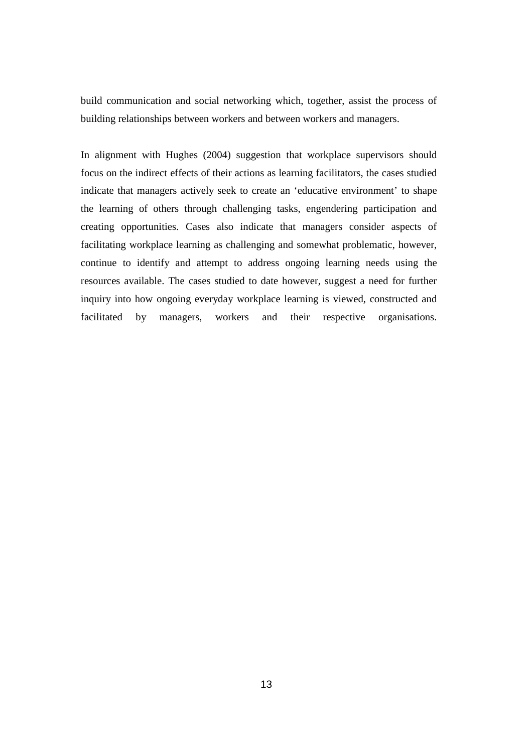build communication and social networking which, together, assist the process of building relationships between workers and between workers and managers.

In alignment with Hughes (2004) suggestion that workplace supervisors should focus on the indirect effects of their actions as learning facilitators, the cases studied indicate that managers actively seek to create an 'educative environment' to shape the learning of others through challenging tasks, engendering participation and creating opportunities. Cases also indicate that managers consider aspects of facilitating workplace learning as challenging and somewhat problematic, however, continue to identify and attempt to address ongoing learning needs using the resources available. The cases studied to date however, suggest a need for further inquiry into how ongoing everyday workplace learning is viewed, constructed and facilitated by managers, workers and their respective organisations.